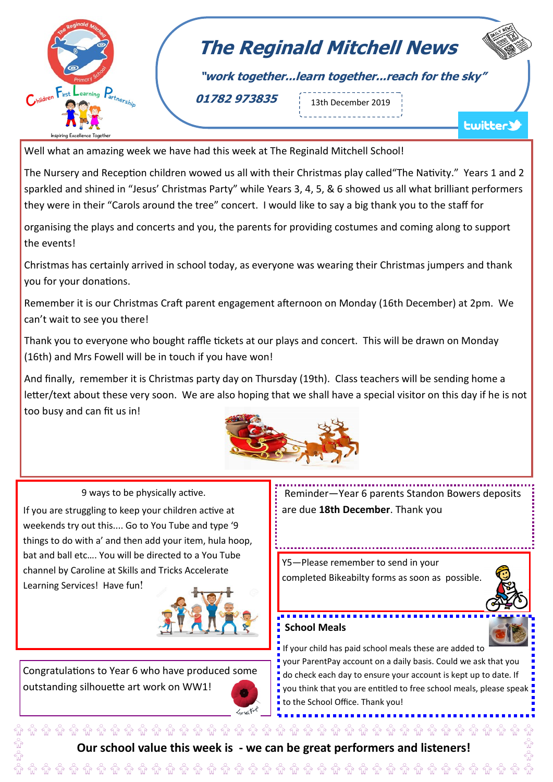

## **The Reginald Mitchell News**

**"work together...learn together...reach for the sky"**

**01782 973835** 13th December 2019

<u> 11111111111111</u>

**Lwitter** 

Well what an amazing week we have had this week at The Reginald Mitchell School!

The Nursery and Reception children wowed us all with their Christmas play called"The Nativity." Years 1 and 2 sparkled and shined in "Jesus' Christmas Party" while Years 3, 4, 5, & 6 showed us all what brilliant performers they were in their "Carols around the tree" concert. I would like to say a big thank you to the staff for

organising the plays and concerts and you, the parents for providing costumes and coming along to support the events!

Christmas has certainly arrived in school today, as everyone was wearing their Christmas jumpers and thank you for your donations.

Remember it is our Christmas Craft parent engagement afternoon on Monday (16th December) at 2pm. We can't wait to see you there!

Thank you to everyone who bought raffle tickets at our plays and concert. This will be drawn on Monday (16th) and Mrs Fowell will be in touch if you have won!

And finally, remember it is Christmas party day on Thursday (19th). Class teachers will be sending home a letter/text about these very soon. We are also hoping that we shall have a special visitor on this day if he is not too busy and can fit us in!



9 ways to be physically active.

If you are struggling to keep your children active at weekends try out this.... Go to You Tube and type '9 things to do with a' and then add your item, hula hoop, bat and ball etc…. You will be directed to a You Tube channel by Caroline at Skills and Tricks Accelerate Learning Services! Have fun!



Congratulations to Year 6 who have produced some outstanding silhouette art work on WW1!



Reminder—Year 6 parents Standon Bowers deposits are due **18th December**. Thank you

Y5—Please remember to send in your completed Bikeabilty forms as soon as possible.



## **School Meals**

If your child has paid school meals these are added to your ParentPay account on a daily basis. Could we ask that you

o do check each day to ensure your account is kept up to date. If you think that you are entitled to free school meals, please speak to the School Office. Thank you!